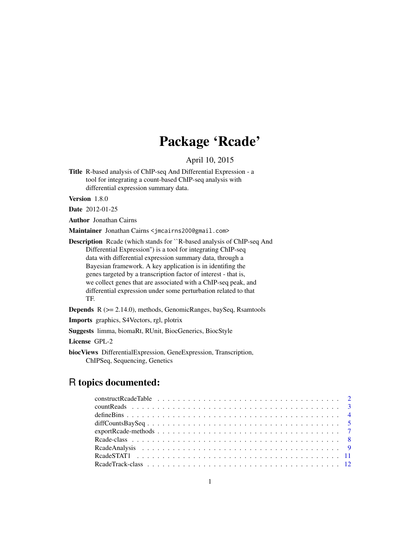## Package 'Rcade'

## April 10, 2015

<span id="page-0-0"></span>Title R-based analysis of ChIP-seq And Differential Expression - a tool for integrating a count-based ChIP-seq analysis with differential expression summary data.

Version 1.8.0

Date 2012-01-25

Author Jonathan Cairns

Maintainer Jonathan Cairns <jmcairns200@gmail.com>

Description Rcade (which stands for ``R-based analysis of ChIP-seq And Differential Expression'') is a tool for integrating ChIP-seq data with differential expression summary data, through a Bayesian framework. A key application is in identifing the genes targeted by a transcription factor of interest - that is, we collect genes that are associated with a ChIP-seq peak, and differential expression under some perturbation related to that TF.

Depends R (>= 2.14.0), methods, GenomicRanges, baySeq, Rsamtools

Imports graphics, S4Vectors, rgl, plotrix

Suggests limma, biomaRt, RUnit, BiocGenerics, BiocStyle

License GPL-2

biocViews DifferentialExpression, GeneExpression, Transcription, ChIPSeq, Sequencing, Genetics

## R topics documented: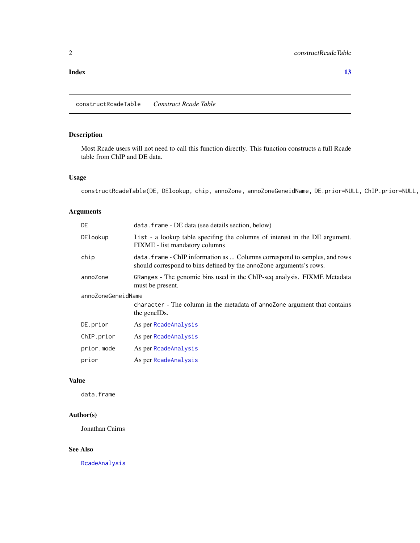#### <span id="page-1-0"></span>**Index** [13](#page-12-0)

constructRcadeTable *Construct Rcade Table*

## Description

Most Rcade users will not need to call this function directly. This function constructs a full Rcade table from ChIP and DE data.

## Usage

constructRcadeTable(DE, DElookup, chip, annoZone, annoZoneGeneidName, DE.prior=NULL, ChIP.prior=NULL,

## Arguments

| DE                 | data. frame - DE data (see details section, below)                                                                                                |  |  |  |
|--------------------|---------------------------------------------------------------------------------------------------------------------------------------------------|--|--|--|
| DElookup           | list - a lookup table specifing the columns of interest in the DE argument.<br>FIXME - list mandatory columns                                     |  |  |  |
| chip               | data. frame - ChIP information as  Columns correspond to samples, and rows<br>should correspond to bins defined by the annoZone arguments's rows. |  |  |  |
| annoZone           | GRanges - The genomic bins used in the ChIP-seq analysis. FIXME Metadata<br>must be present.                                                      |  |  |  |
| annoZoneGeneidName |                                                                                                                                                   |  |  |  |
|                    | character - The column in the metadata of annozone argument that contains<br>the geneIDs.                                                         |  |  |  |
| DE.prior           | As per RcadeAnalysis                                                                                                                              |  |  |  |
| ChIP.prior         | As per RcadeAnalysis                                                                                                                              |  |  |  |
| prior.mode         | As per RcadeAnalysis                                                                                                                              |  |  |  |
| prior              | As per RcadeAnalysis                                                                                                                              |  |  |  |
|                    |                                                                                                                                                   |  |  |  |

## Value

data.frame

## Author(s)

Jonathan Cairns

#### See Also

[RcadeAnalysis](#page-8-1)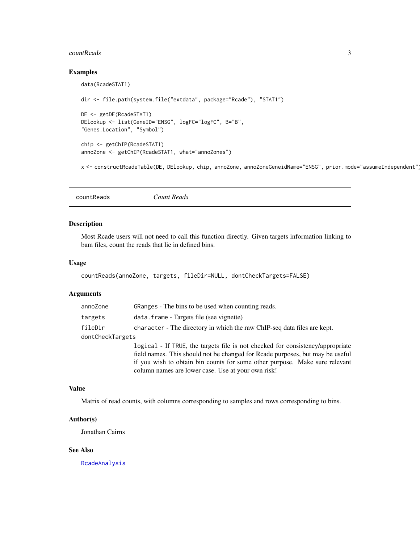#### <span id="page-2-0"></span>countReads 3

#### Examples

```
data(RcadeSTAT1)
dir <- file.path(system.file("extdata", package="Rcade"), "STAT1")
DE <- getDE(RcadeSTAT1)
DElookup <- list(GeneID="ENSG", logFC="logFC", B="B",
"Genes.Location", "Symbol")
chip <- getChIP(RcadeSTAT1)
annoZone <- getChIP(RcadeSTAT1, what="annoZones")
```
x <- constructRcadeTable(DE, DElookup, chip, annoZone, annoZoneGeneidName="ENSG", prior.mode="assumeIndependent")

```
countReads Count Reads
```
#### Description

Most Rcade users will not need to call this function directly. Given targets information linking to bam files, count the reads that lie in defined bins.

#### Usage

```
countReads(annoZone, targets, fileDir=NULL, dontCheckTargets=FALSE)
```
## Arguments

| annoZone         | GRanges - The bins to be used when counting reads.                             |
|------------------|--------------------------------------------------------------------------------|
| targets          | data. frame - Targets file (see vignette)                                      |
| fileDir          | character - The directory in which the raw ChIP-seq data files are kept.       |
| dontCheckTargets |                                                                                |
|                  | logical - If TRUE, the targets file is not checked for consistency/appropriate |
|                  | field names. This should not be changed for Rcade purposes, but may be useful  |
|                  | if you wish to obtain bin counts for some other purpose. Make sure relevant    |
|                  | column names are lower case. Use at your own risk!                             |

## Value

Matrix of read counts, with columns corresponding to samples and rows corresponding to bins.

#### Author(s)

Jonathan Cairns

#### See Also

[RcadeAnalysis](#page-8-1)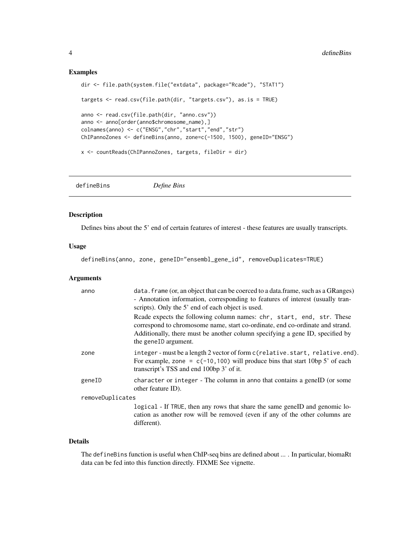#### Examples

```
dir <- file.path(system.file("extdata", package="Rcade"), "STAT1")
targets <- read.csv(file.path(dir, "targets.csv"), as.is = TRUE)
anno <- read.csv(file.path(dir, "anno.csv"))
anno <- anno[order(anno$chromosome_name),]
colnames(anno) <- c("ENSG","chr","start","end","str")
ChIPannoZones <- defineBins(anno, zone=c(-1500, 1500), geneID="ENSG")
x <- countReads(ChIPannoZones, targets, fileDir = dir)
```
defineBins *Define Bins*

## Description

Defines bins about the 5' end of certain features of interest - these features are usually transcripts.

#### Usage

defineBins(anno, zone, geneID="ensembl\_gene\_id", removeDuplicates=TRUE)

#### Arguments

| anno             | data. frame (or, an object that can be coerced to a data. frame, such as a GRanges)<br>- Annotation information, corresponding to features of interest (usually tran-<br>scripts). Only the 5' end of each object is used.                                      |
|------------------|-----------------------------------------------------------------------------------------------------------------------------------------------------------------------------------------------------------------------------------------------------------------|
|                  | Reade expects the following column names: chr, start, end, str. These<br>correspond to chromosome name, start co-ordinate, end co-ordinate and strand.<br>Additionally, there must be another column specifying a gene ID, specified by<br>the geneID argument. |
| zone             | integer-must be a length 2 vector of form c (relative.start, relative.end).<br>For example, zone = $c(-10, 100)$ will produce bins that start 10bp 5' of each<br>transcript's TSS and end 100bp 3' of it.                                                       |
| geneID           | character or integer - The column in anno that contains a geneID (or some<br>other feature ID).                                                                                                                                                                 |
| removeDuplicates |                                                                                                                                                                                                                                                                 |
|                  | logical - If TRUE, then any rows that share the same geneID and genomic lo-<br>cation as another row will be removed (even if any of the other columns are<br>different).                                                                                       |

#### Details

The defineBins function is useful when ChIP-seq bins are defined about ... . In particular, biomaRt data can be fed into this function directly. FIXME See vignette.

<span id="page-3-0"></span>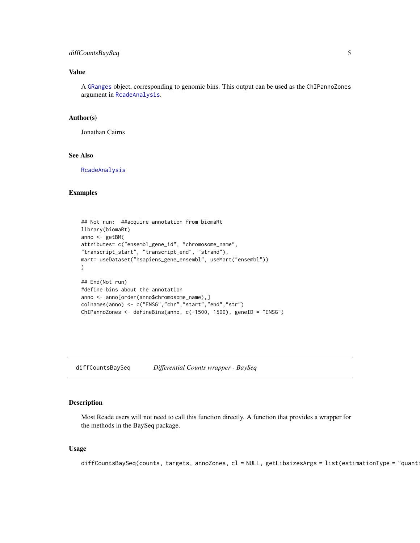## <span id="page-4-0"></span>diffCountsBaySeq 5

## Value

A [GRanges](#page-0-0) object, corresponding to genomic bins. This output can be used as the ChIPannoZones argument in [RcadeAnalysis](#page-8-1).

#### Author(s)

Jonathan Cairns

## See Also

[RcadeAnalysis](#page-8-1)

## Examples

```
## Not run: ##acquire annotation from biomaRt
library(biomaRt)
anno <- getBM(
attributes= c("ensembl_gene_id", "chromosome_name",
"transcript_start", "transcript_end", "strand"),
mart= useDataset("hsapiens_gene_ensembl", useMart("ensembl"))
)
## End(Not run)
#define bins about the annotation
anno <- anno[order(anno$chromosome_name),]
colnames(anno) <- c("ENSG","chr","start","end","str")
ChIPannoZones <- defineBins(anno, c(-1500, 1500), geneID = "ENSG")
```
diffCountsBaySeq *Differential Counts wrapper - BaySeq*

## Description

Most Rcade users will not need to call this function directly. A function that provides a wrapper for the methods in the BaySeq package.

#### Usage

diffCountsBaySeq(counts, targets, annoZones, cl = NULL, getLibsizesArgs = list(estimationType = "quant: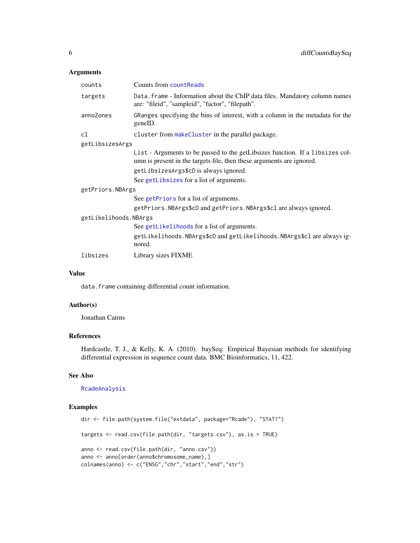## Arguments

| counts                | Counts from countReads                                                                                                                                 |  |  |  |  |
|-----------------------|--------------------------------------------------------------------------------------------------------------------------------------------------------|--|--|--|--|
| targets               | Data. frame - Information about the ChIP data files. Mandatory column names<br>are: "fileid", "sampleid", "factor", "filepath".                        |  |  |  |  |
| annoZones             | GRanges specifying the bins of interest, with a column in the metadata for the<br>geneID.                                                              |  |  |  |  |
| cl                    | cluster from makeCluster in the parallel package.                                                                                                      |  |  |  |  |
| getLibsizesArgs       |                                                                                                                                                        |  |  |  |  |
|                       | List - Arguments to be passed to the getLibsizes function. If a libsizes col-<br>umn is present in the targets file, then these arguments are ignored. |  |  |  |  |
|                       | getLibsizesArgs\$cD is always ignored.                                                                                                                 |  |  |  |  |
|                       | See getLibsizes for a list of arguments.                                                                                                               |  |  |  |  |
| getPriors.NBArgs      |                                                                                                                                                        |  |  |  |  |
|                       | See getPriors for a list of arguments.                                                                                                                 |  |  |  |  |
|                       | getPriors. NBArgs\$cD and getPriors. NBArgs\$c1 are always ignored.                                                                                    |  |  |  |  |
| getLikelihoods.NBArgs |                                                                                                                                                        |  |  |  |  |
|                       | See getLikelihoods for a list of arguments.                                                                                                            |  |  |  |  |
|                       | getLikelihoods. NBArgs\$cD and getLikelihoods. NBArgs\$cl are always ig-<br>nored.                                                                     |  |  |  |  |
| libsizes              | Library sizes FIXME                                                                                                                                    |  |  |  |  |

#### Value

data. frame containing differential count information.

## Author(s)

Jonathan Cairns

### References

Hardcastle, T. J., & Kelly, K. A. (2010). baySeq: Empirical Bayesian methods for identifying differential expression in sequence count data. BMC Bioinformatics, 11, 422.

## See Also

[RcadeAnalysis](#page-8-1)

## Examples

```
dir <- file.path(system.file("extdata", package="Rcade"), "STAT1")
targets <- read.csv(file.path(dir, "targets.csv"), as.is = TRUE)
anno <- read.csv(file.path(dir, "anno.csv"))
anno <- anno[order(anno$chromosome_name),]
colnames(anno) <- c("ENSG","chr","start","end","str")
```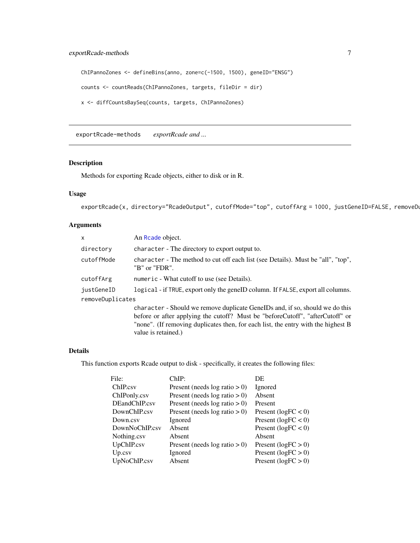```
ChIPannoZones <- defineBins(anno, zone=c(-1500, 1500), geneID="ENSG")
counts <- countReads(ChIPannoZones, targets, fileDir = dir)
x <- diffCountsBaySeq(counts, targets, ChIPannoZones)
```
exportRcade-methods *exportRcade and ...*

## Description

Methods for exporting Rcade objects, either to disk or in R.

value is retained.)

## Usage

```
exportRcade(x, directory="RcadeOutput", cutoffMode="top", cutoffArg = 1000, justGeneID=FALSE, removeDu
```
## Arguments

| X                | An Reade object.                                                                                  |
|------------------|---------------------------------------------------------------------------------------------------|
| directory        | character - The directory to export output to.                                                    |
| cutoffMode       | character - The method to cut off each list (see Details). Must be "all", "top",<br>"B" or "FDR". |
| cutoffArg        | numeric - What cutoff to use (see Details).                                                       |
| justGeneID       | logical - if TRUE, export only the genelD column. If FALSE, export all columns.                   |
| removeDuplicates |                                                                                                   |
|                  | character - Should we remove duplicate GeneIDs and, if so, should we do this                      |
|                  | before or after applying the cutoff? Must be "before Cutoff", "after Cutoff" or                   |
|                  | "none". (If removing duplicates then, for each list, the entry with the highest B                 |

## Details

This function exports Rcade output to disk - specifically, it creates the following files:

| File:          | ChIP:                            | DE                      |
|----------------|----------------------------------|-------------------------|
| ChIP.csv       | Present (needs $log ratio > 0$ ) | Ignored                 |
| ChIPonly.csv   | Present (needs $log ratio > 0$ ) | Absent                  |
| DEandChIP.csv  | Present (needs $log ratio > 0$ ) | Present                 |
| DownChIP.csv   | Present (needs $log ratio > 0$ ) | Present ( $logFC < 0$ ) |
| Down.csv       | Ignored                          | Present ( $logFC < 0$ ) |
| DownNoChIP.csv | Absent                           | Present ( $logFC < 0$ ) |
| Nothing.csv    | Absent                           | Absent                  |
| UpChIP.csv     | Present (needs $log ratio > 0$ ) | Present ( $logFC > 0$ ) |
| Up.csv         | Ignored                          | Present ( $logFC > 0$ ) |
| UpNoChIP.csv   | Absent                           | Present ( $logFC > 0$ ) |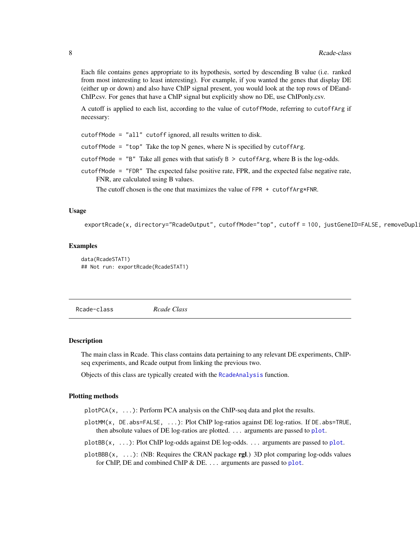<span id="page-7-0"></span>Each file contains genes appropriate to its hypothesis, sorted by descending B value (i.e. ranked from most interesting to least interesting). For example, if you wanted the genes that display DE (either up or down) and also have ChIP signal present, you would look at the top rows of DEand-ChIP.csv. For genes that have a ChIP signal but explicitly show no DE, use ChIPonly.csv.

A cutoff is applied to each list, according to the value of cutoffMode, referring to cutoffArg if necessary:

cutoffMode = "all" cutoff ignored, all results written to disk.

cutoffMode = "top" Take the top N genes, where N is specified by cutoffArg.

cutoffMode =  $"B"$  Take all genes with that satisfy  $B >$  cutoffArg, where B is the log-odds.

cutoffMode = "FDR" The expected false positive rate, FPR, and the expected false negative rate, FNR, are calculated using B values.

The cutoff chosen is the one that maximizes the value of FPR  $+$  cutoff Arg \* FNR.

#### Usage

exportRcade(x, directory="RcadeOutput", cutoffMode="top", cutoff = 100, justGeneID=FALSE, removeDupli

#### Examples

```
data(RcadeSTAT1)
## Not run: exportRcade(RcadeSTAT1)
```
<span id="page-7-1"></span>Rcade-class *Rcade Class*

#### **Description**

The main class in Rcade. This class contains data pertaining to any relevant DE experiments, ChIPseq experiments, and Rcade output from linking the previous two.

Objects of this class are typically created with the [RcadeAnalysis](#page-8-1) function.

#### Plotting methods

plotPCA(x, ...): Perform PCA analysis on the ChIP-seq data and plot the results.

plotMM(x, DE.abs=FALSE, ...): Plot ChIP log-ratios against DE log-ratios. If DE.abs=TRUE, then absolute values of DE log-ratios are plotted. ... arguments are passed to [plot](#page-0-0).

plotBB(x, ...): Plot ChIP log-odds against DE log-odds. ... arguments are passed to [plot](#page-0-0).

plotBBB $(x, \ldots)$ : (NB: Requires the CRAN package rgl.) 3D plot comparing log-odds values for ChIP, DE and combined ChIP & DE. ... arguments are passed to [plot](#page-0-0).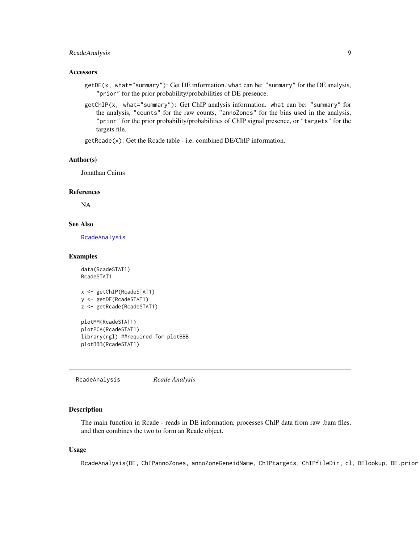## <span id="page-8-0"></span>RcadeAnalysis 9

#### **Accessors**

- getDE(x, what="summary"): Get DE information. what can be: "summary" for the DE analysis, "prior" for the prior probability/probabilities of DE presence.
- getChIP(x, what="summary"): Get ChIP analysis information. what can be: "summary" for the analysis, "counts" for the raw counts, "annoZones" for the bins used in the analysis, "prior" for the prior probability/probabilities of ChIP signal presence, or "targets" for the targets file.

getRcade(x): Get the Rcade table - i.e. combined DE/ChIP information.

#### Author(s)

Jonathan Cairns

### References

NA

## See Also

[RcadeAnalysis](#page-8-1)

#### Examples

data(RcadeSTAT1) RcadeSTAT1

```
x <- getChIP(RcadeSTAT1)
y <- getDE(RcadeSTAT1)
z <- getRcade(RcadeSTAT1)
```
plotMM(RcadeSTAT1) plotPCA(RcadeSTAT1) library(rgl) ##required for plotBBB plotBBB(RcadeSTAT1)

<span id="page-8-1"></span>RcadeAnalysis *Rcade Analysis*

#### Description

The main function in Rcade - reads in DE information, processes ChIP data from raw .bam files, and then combines the two to form an Rcade object.

#### Usage

RcadeAnalysis(DE, ChIPannoZones, annoZoneGeneidName, ChIPtargets, ChIPfileDir, cl, DElookup, DE.prior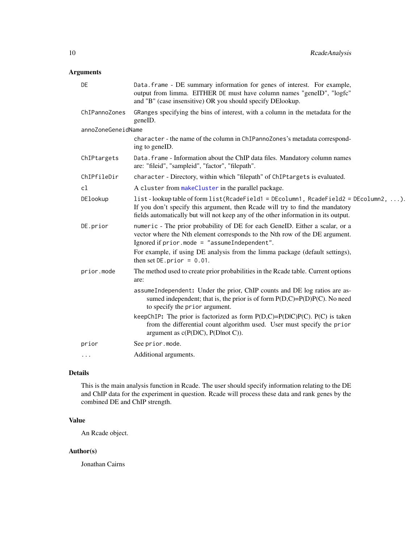## Arguments

| DE                 | Data.frame - DE summary information for genes of interest. For example,<br>output from limma. EITHER DE must have column names "geneID", "logfc"<br>and "B" (case insensitive) OR you should specify DElookup.                                                   |
|--------------------|------------------------------------------------------------------------------------------------------------------------------------------------------------------------------------------------------------------------------------------------------------------|
| ChIPannoZones      | GRanges specifying the bins of interest, with a column in the metadata for the<br>geneID.                                                                                                                                                                        |
| annoZoneGeneidName |                                                                                                                                                                                                                                                                  |
|                    | character - the name of the column in ChIPannoZones's metadata correspond-<br>ing to geneID.                                                                                                                                                                     |
| ChIPtargets        | Data.frame - Information about the ChIP data files. Mandatory column names<br>are: "fileid", "sampleid", "factor", "filepath".                                                                                                                                   |
| ChIPfileDir        | character - Directory, within which "filepath" of ChIPtargets is evaluated.                                                                                                                                                                                      |
| cl                 | A cluster from makeCluster in the parallel package.                                                                                                                                                                                                              |
| DElookup           | $list$ - lookup table of form $list(Rcadefield = DEcolumn1, Readefield2 = DEcolumn2, )$ .<br>If you don't specify this argument, then Rcade will try to find the mandatory<br>fields automatically but will not keep any of the other information in its output. |
| DE.prior           | numeric - The prior probability of DE for each GeneID. Either a scalar, or a<br>vector where the Nth element corresponds to the Nth row of the DE argument.<br>Ignored if $prior$ . mode = "assumeIndependent".                                                  |
|                    | For example, if using DE analysis from the limma package (default settings),<br>then set $DE. prior = 0.01$ .                                                                                                                                                    |
| prior.mode         | The method used to create prior probabilities in the Rcade table. Current options<br>are:                                                                                                                                                                        |
|                    | assumeIndependent: Under the prior, ChIP counts and DE log ratios are as-<br>sumed independent; that is, the prior is of form $P(D,C)=P(D)P(C)$ . No need<br>to specify the prior argument.                                                                      |
|                    | keepChIP: The prior is factorized as form $P(D,C)=P(D C)P(C)$ . $P(C)$ is taken<br>from the differential count algorithm used. User must specify the prior<br>argument as $c(P(D C), P(D not C)).$                                                               |
| prior              | See prior.mode.                                                                                                                                                                                                                                                  |
| $\cdots$           | Additional arguments.                                                                                                                                                                                                                                            |

#### Details

This is the main analysis function in Rcade. The user should specify information relating to the DE and ChIP data for the experiment in question. Rcade will process these data and rank genes by the combined DE and ChIP strength.

## Value

An Rcade object.

## Author(s)

Jonathan Cairns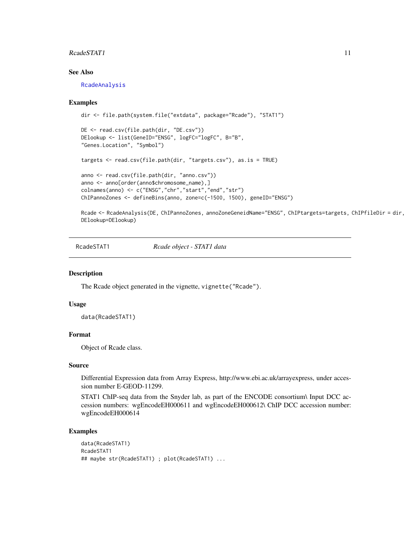#### <span id="page-10-0"></span>RcadeSTAT1 11

## See Also

[RcadeAnalysis](#page-8-1)

#### Examples

```
dir <- file.path(system.file("extdata", package="Rcade"), "STAT1")
DE <- read.csv(file.path(dir, "DE.csv"))
DElookup <- list(GeneID="ENSG", logFC="logFC", B="B",
"Genes.Location", "Symbol")
targets <- read.csv(file.path(dir, "targets.csv"), as.is = TRUE)
anno <- read.csv(file.path(dir, "anno.csv"))
anno <- anno[order(anno$chromosome_name),]
colnames(anno) <- c("ENSG","chr","start","end","str")
ChIPannoZones <- defineBins(anno, zone=c(-1500, 1500), geneID="ENSG")
```
Rcade <- RcadeAnalysis(DE, ChIPannoZones, annoZoneGeneidName="ENSG", ChIPtargets=targets, ChIPfileDir = dir, DElookup=DElookup)

RcadeSTAT1 *Rcade object - STAT1 data*

#### Description

The Rcade object generated in the vignette, vignette("Rcade").

#### Usage

data(RcadeSTAT1)

#### Format

Object of Rcade class.

#### Source

Differential Expression data from Array Express, http://www.ebi.ac.uk/arrayexpress, under accession number E-GEOD-11299.

STAT1 ChIP-seq data from the Snyder lab, as part of the ENCODE consortium\ Input DCC accession numbers: wgEncodeEH000611 and wgEncodeEH000612\ ChIP DCC accession number: wgEncodeEH000614

#### Examples

```
data(RcadeSTAT1)
RcadeSTAT1
## maybe str(RcadeSTAT1) ; plot(RcadeSTAT1) ...
```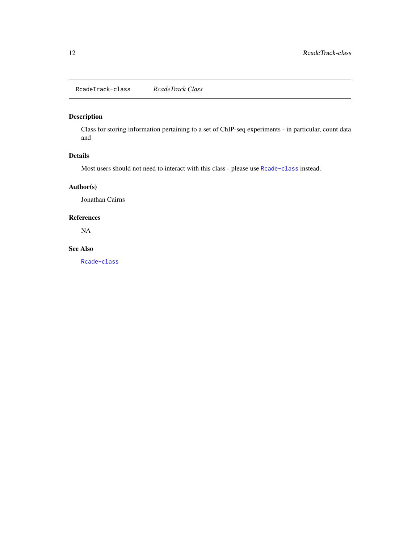<span id="page-11-0"></span>RcadeTrack-class *RcadeTrack Class*

## Description

Class for storing information pertaining to a set of ChIP-seq experiments - in particular, count data and

## Details

Most users should not need to interact with this class - please use [Rcade-class](#page-7-1) instead.

## Author(s)

Jonathan Cairns

#### References

NA

## See Also

[Rcade-class](#page-7-1)